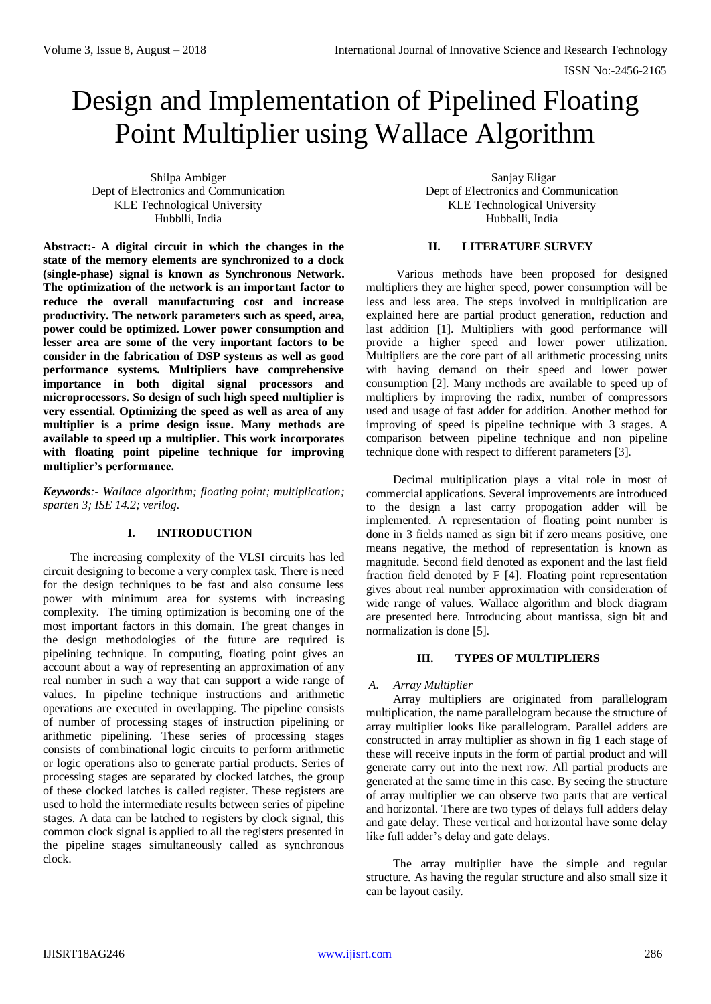# Design and Implementation of Pipelined Floating Point Multiplier using Wallace Algorithm

Shilpa Ambiger Dept of Electronics and Communication KLE Technological University Hubblli, India

**Abstract:- A digital circuit in which the changes in the state of the memory elements are synchronized to a clock (single-phase) signal is known as Synchronous Network. The optimization of the network is an important factor to reduce the overall manufacturing cost and increase productivity. The network parameters such as speed, area, power could be optimized. Lower power consumption and lesser area are some of the very important factors to be consider in the fabrication of DSP systems as well as good performance systems. Multipliers have comprehensive importance in both digital signal processors and microprocessors. So design of such high speed multiplier is very essential. Optimizing the speed as well as area of any multiplier is a prime design issue. Many methods are available to speed up a multiplier. This work incorporates with floating point pipeline technique for improving multiplier's performance.**

*Keywords:- Wallace algorithm; floating point; multiplication; sparten 3; ISE 14.2; verilog.*

# **I. INTRODUCTION**

The increasing complexity of the VLSI circuits has led circuit designing to become a very complex task. There is need for the design techniques to be fast and also consume less power with minimum area for systems with increasing complexity. The timing optimization is becoming one of the most important factors in this domain. The great changes in the design methodologies of the future are required is pipelining technique. In computing, floating point gives an account about a way of representing an approximation of any real number in such a way that can support a wide range of values. In pipeline technique instructions and arithmetic operations are executed in overlapping. The pipeline consists of number of processing stages of instruction pipelining or arithmetic pipelining. These series of processing stages consists of combinational logic circuits to perform arithmetic or logic operations also to generate partial products. Series of processing stages are separated by clocked latches, the group of these clocked latches is called register. These registers are used to hold the intermediate results between series of pipeline stages. A data can be latched to registers by clock signal, this common clock signal is applied to all the registers presented in the pipeline stages simultaneously called as synchronous clock.

Sanjay Eligar Dept of Electronics and Communication KLE Technological University Hubballi, India

## **II. LITERATURE SURVEY**

Various methods have been proposed for designed multipliers they are higher speed, power consumption will be less and less area. The steps involved in multiplication are explained here are partial product generation, reduction and last addition [1]. Multipliers with good performance will provide a higher speed and lower power utilization. Multipliers are the core part of all arithmetic processing units with having demand on their speed and lower power consumption [2]. Many methods are available to speed up of multipliers by improving the radix, number of compressors used and usage of fast adder for addition. Another method for improving of speed is pipeline technique with 3 stages. A comparison between pipeline technique and non pipeline technique done with respect to different parameters [3].

Decimal multiplication plays a vital role in most of commercial applications. Several improvements are introduced to the design a last carry propogation adder will be implemented. A representation of floating point number is done in 3 fields named as sign bit if zero means positive, one means negative, the method of representation is known as magnitude. Second field denoted as exponent and the last field fraction field denoted by F [4]. Floating point representation gives about real number approximation with consideration of wide range of values. Wallace algorithm and block diagram are presented here. Introducing about mantissa, sign bit and normalization is done [5].

# **III. TYPES OF MULTIPLIERS**

# *A. Array Multiplier*

Array multipliers are originated from parallelogram multiplication, the name parallelogram because the structure of array multiplier looks like parallelogram. Parallel adders are constructed in array multiplier as shown in fig 1 each stage of these will receive inputs in the form of partial product and will generate carry out into the next row. All partial products are generated at the same time in this case. By seeing the structure of array multiplier we can observe two parts that are vertical and horizontal. There are two types of delays full adders delay and gate delay. These vertical and horizontal have some delay like full adder's delay and gate delays.

The array multiplier have the simple and regular structure. As having the regular structure and also small size it can be layout easily.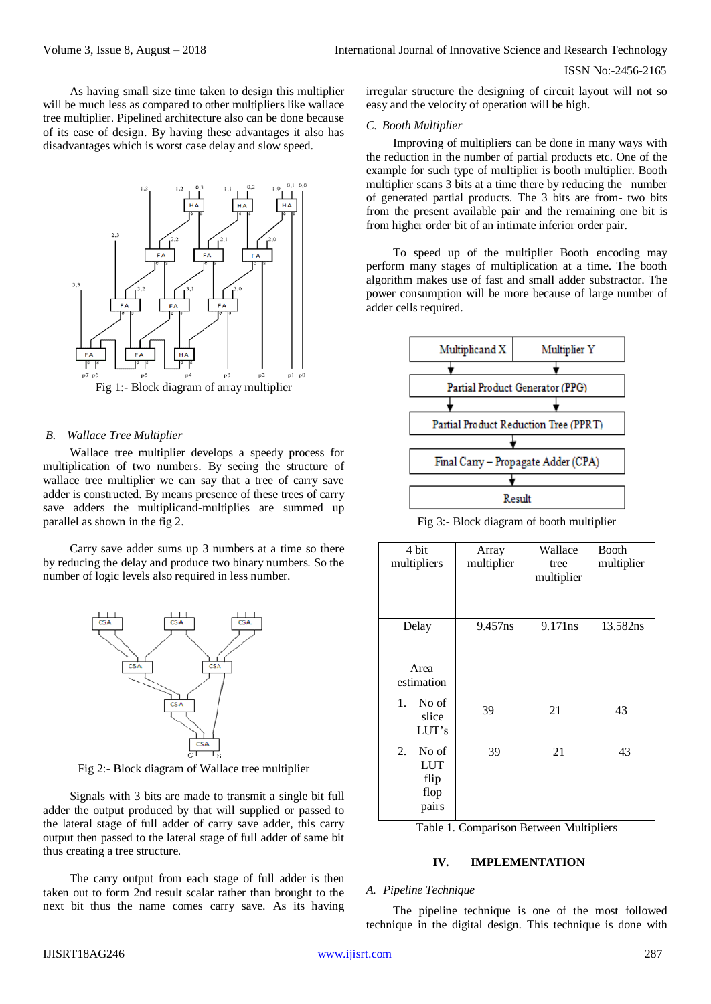## ISSN No:-2456-2165

As having small size time taken to design this multiplier will be much less as compared to other multipliers like wallace tree multiplier. Pipelined architecture also can be done because of its ease of design. By having these advantages it also has disadvantages which is worst case delay and slow speed.



Fig 1:- Block diagram of array multiplier

#### *B. Wallace Tree Multiplier*

Wallace tree multiplier develops a speedy process for multiplication of two numbers. By seeing the structure of wallace tree multiplier we can say that a tree of carry save adder is constructed. By means presence of these trees of carry save adders the multiplicand-multiplies are summed up parallel as shown in the fig 2.

Carry save adder sums up 3 numbers at a time so there by reducing the delay and produce two binary numbers. So the number of logic levels also required in less number.



Fig 2:- Block diagram of Wallace tree multiplier

Signals with 3 bits are made to transmit a single bit full adder the output produced by that will supplied or passed to the lateral stage of full adder of carry save adder, this carry output then passed to the lateral stage of full adder of same bit thus creating a tree structure.

The carry output from each stage of full adder is then taken out to form 2nd result scalar rather than brought to the next bit thus the name comes carry save. As its having

irregular structure the designing of circuit layout will not so easy and the velocity of operation will be high.

#### *C. Booth Multiplier*

Improving of multipliers can be done in many ways with the reduction in the number of partial products etc. One of the example for such type of multiplier is booth multiplier. Booth multiplier scans 3 bits at a time there by reducing the number of generated partial products. The 3 bits are from- two bits from the present available pair and the remaining one bit is from higher order bit of an intimate inferior order pair.

To speed up of the multiplier Booth encoding may perform many stages of multiplication at a time. The booth algorithm makes use of fast and small adder substractor. The power consumption will be more because of large number of adder cells required.



Fig 3:- Block diagram of booth multiplier

| 4 bit<br>multipliers                               | Array<br>multiplier | Wallace<br>tree<br>multiplier | <b>Booth</b><br>multiplier |
|----------------------------------------------------|---------------------|-------------------------------|----------------------------|
| Delay                                              | 9.457ns             | 9.171ns                       | 13.582ns                   |
| Area<br>estimation                                 |                     |                               |                            |
| No of<br>1.<br>slice<br>LUT's                      | 39                  | 21                            | 43                         |
| No of<br>2.<br><b>LUT</b><br>flip<br>flop<br>pairs | 39                  | 21                            | 43                         |

Table 1. Comparison Between Multipliers

## **IV. IMPLEMENTATION**

## *A. Pipeline Technique*

The pipeline technique is one of the most followed technique in the digital design. This technique is done with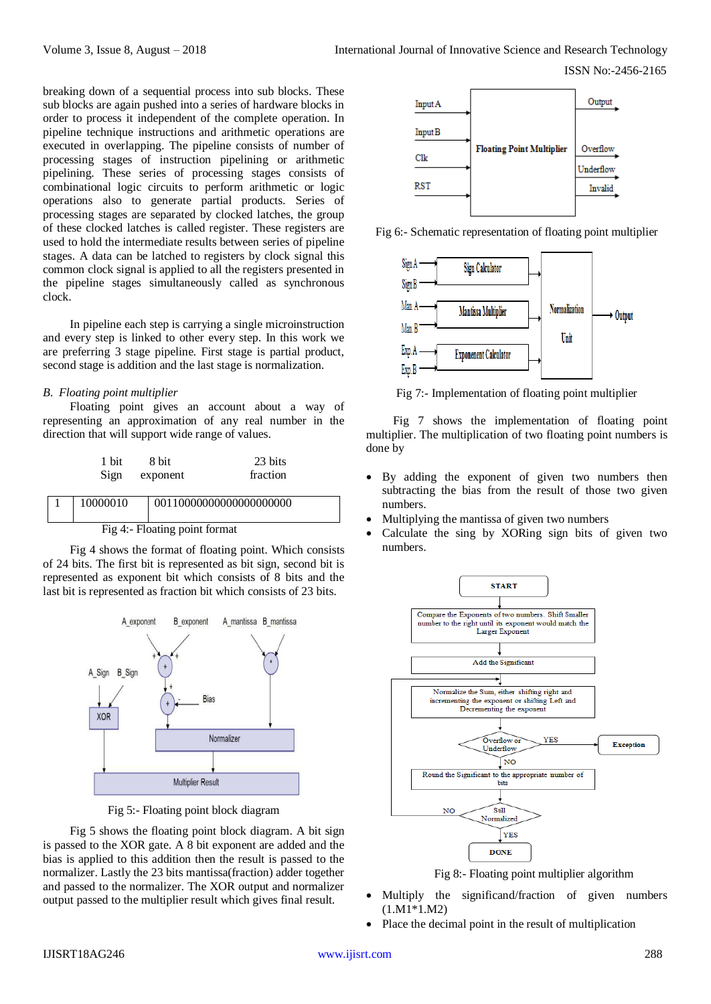breaking down of a sequential process into sub blocks. These sub blocks are again pushed into a series of hardware blocks in order to process it independent of the complete operation. In pipeline technique instructions and arithmetic operations are executed in overlapping. The pipeline consists of number of processing stages of instruction pipelining or arithmetic pipelining. These series of processing stages consists of combinational logic circuits to perform arithmetic or logic operations also to generate partial products. Series of processing stages are separated by clocked latches, the group of these clocked latches is called register. These registers are used to hold the intermediate results between series of pipeline stages. A data can be latched to registers by clock signal this common clock signal is applied to all the registers presented in the pipeline stages simultaneously called as synchronous clock.

In pipeline each step is carrying a single microinstruction and every step is linked to other every step. In this work we are preferring 3 stage pipeline. First stage is partial product, second stage is addition and the last stage is normalization.

# *B. Floating point multiplier*

Floating point gives an account about a way of representing an approximation of any real number in the direction that will support wide range of values.

| 1 bit    | 8 bit    | 23 bits  |
|----------|----------|----------|
| Sign     | exponent | fraction |
| 10000010 |          |          |

Fig 4:- Floating point format

Fig 4 shows the format of floating point. Which consists of 24 bits. The first bit is represented as bit sign, second bit is represented as exponent bit which consists of 8 bits and the last bit is represented as fraction bit which consists of 23 bits.



Fig 5:- Floating point block diagram

Fig 5 shows the floating point block diagram. A bit sign is passed to the XOR gate. A 8 bit exponent are added and the bias is applied to this addition then the result is passed to the normalizer. Lastly the 23 bits mantissa(fraction) adder together and passed to the normalizer. The XOR output and normalizer output passed to the multiplier result which gives final result.



Fig 6:- Schematic representation of floating point multiplier



Fig 7:- Implementation of floating point multiplier

Fig 7 shows the implementation of floating point multiplier. The multiplication of two floating point numbers is done by

- By adding the exponent of given two numbers then subtracting the bias from the result of those two given numbers.
- Multiplying the mantissa of given two numbers
- Calculate the sing by XORing sign bits of given two numbers.



Fig 8:- Floating point multiplier algorithm

- Multiply the significand/fraction of given numbers (1.M1\*1.M2)
- Place the decimal point in the result of multiplication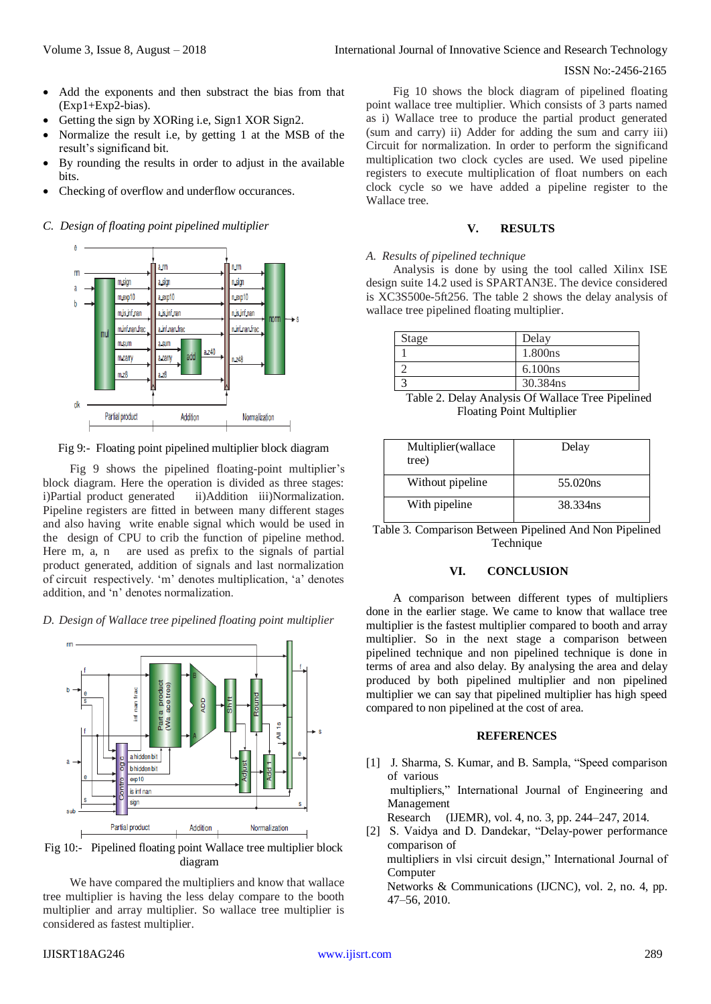#### ISSN No:-2456-2165

- Add the exponents and then substract the bias from that (Exp1+Exp2-bias).
- Getting the sign by XORing i.e, Sign1 XOR Sign2.
- Normalize the result i.e, by getting 1 at the MSB of the result's significand bit.
- By rounding the results in order to adjust in the available bits.
- Checking of overflow and underflow occurances.

## *C. Design of floating point pipelined multiplier*



Fig 9:- Floating point pipelined multiplier block diagram

Fig 9 shows the pipelined floating-point multiplier's block diagram. Here the operation is divided as three stages: i)Partial product generated ii)Addition iii)Normalization. Pipeline registers are fitted in between many different stages and also having write enable signal which would be used in the design of CPU to crib the function of pipeline method. Here m, a, n are used as prefix to the signals of partial product generated, addition of signals and last normalization of circuit respectively. 'm' denotes multiplication, 'a' denotes addition, and 'n' denotes normalization.

#### *D. Design of Wallace tree pipelined floating point multiplier*



Fig 10:- Pipelined floating point Wallace tree multiplier block diagram

We have compared the multipliers and know that wallace tree multiplier is having the less delay compare to the booth multiplier and array multiplier. So wallace tree multiplier is considered as fastest multiplier.

Fig 10 shows the block diagram of pipelined floating point wallace tree multiplier. Which consists of 3 parts named as i) Wallace tree to produce the partial product generated (sum and carry) ii) Adder for adding the sum and carry iii) Circuit for normalization. In order to perform the significand multiplication two clock cycles are used. We used pipeline registers to execute multiplication of float numbers on each clock cycle so we have added a pipeline register to the Wallace tree.

# **V. RESULTS**

#### *A. Results of pipelined technique*

Analysis is done by using the tool called Xilinx ISE design suite 14.2 used is SPARTAN3E. The device considered is XC3S500e-5ft256. The table 2 shows the delay analysis of wallace tree pipelined floating multiplier.

| <b>Stage</b> | Delay               |
|--------------|---------------------|
|              | 1.800ns             |
|              | 6.100 <sub>ns</sub> |
|              | 30.384ns            |

 Table 2. Delay Analysis Of Wallace Tree Pipelined Floating Point Multiplier

| Multiplier (wallace<br>tree) | Delay    |
|------------------------------|----------|
| Without pipeline             | 55.020ns |
| With pipeline                | 38.334ns |

Table 3. Comparison Between Pipelined And Non Pipelined Technique

# **VI. CONCLUSION**

A comparison between different types of multipliers done in the earlier stage. We came to know that wallace tree multiplier is the fastest multiplier compared to booth and array multiplier. So in the next stage a comparison between pipelined technique and non pipelined technique is done in terms of area and also delay. By analysing the area and delay produced by both pipelined multiplier and non pipelined multiplier we can say that pipelined multiplier has high speed compared to non pipelined at the cost of area.

### **REFERENCES**

[1] J. Sharma, S. Kumar, and B. Sampla, "Speed comparison of various multipliers," International Journal of Engineering and Management Research (IJEMR), vol. 4, no. 3, pp. 244–247, 2014.

[2] S. Vaidya and D. Dandekar, "Delay-power performance comparison of

 multipliers in vlsi circuit design," International Journal of Computer

 Networks & Communications (IJCNC), vol. 2, no. 4, pp. 47–56, 2010.